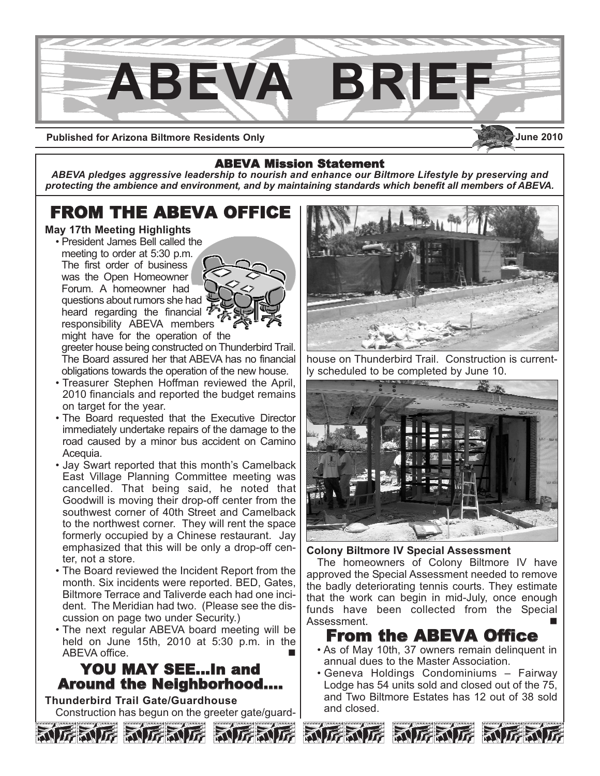

**Published for Arizona Biltmore Residents Only**

## ABEVA Mission Statement

*ABEVA pledges aggressive leadership to nourish and enhance our Biltmore Lifestyle by preserving and protecting the ambience and environment, and by maintaining standards which benefit all members of ABEVA.*

# FROM THE ABEVA OFFICE

## **May 17th Meeting Highlights**

• President James Bell called the meeting to order at 5:30 p.m. The first order of business was the Open Homeowner Forum. A homeowner had questions about rumors she had heard regarding the financial responsibility ABEVA members



might have for the operation of the greeter house being constructed on Thunderbird Trail. The Board assured her that ABEVA has no financial obligations towards the operation of the new house.

- Treasurer Stephen Hoffman reviewed the April, 2010 financials and reported the budget remains on target for the year.
- The Board requested that the Executive Director immediately undertake repairs of the damage to the road caused by a minor bus accident on Camino Acequia.
- Jay Swart reported that this month's Camelback East Village Planning Committee meeting was cancelled. That being said, he noted that Goodwill is moving their drop-off center from the southwest corner of 40th Street and Camelback to the northwest corner. They will rent the space formerly occupied by a Chinese restaurant. Jay emphasized that this will be only a drop-off center, not a store.
- The Board reviewed the Incident Report from the month. Six incidents were reported. BED, Gates, Biltmore Terrace and Taliverde each had one incident. The Meridian had two. (Please see the discussion on page two under Security.)
- The next regular ABEVA board meeting will be held on June 15th, 2010 at 5:30 p.m. in the ABEVA office.

# YOU MAY SEE…In and Around the Neighborhood….

**Thunderbird Trail Gate/Guardhouse** Construction has begun on the greeter gate/guard-





house on Thunderbird Trail. Construction is currently scheduled to be completed by June 10.



**Colony Biltmore IV Special Assessment**

The homeowners of Colony Biltmore IV have approved the Special Assessment needed to remove the badly deteriorating tennis courts. They estimate that the work can begin in mid-July, once enough funds have been collected from the Special Assessment.

# From the ABEVA Office

- As of May 10th, 37 owners remain delinquent in annual dues to the Master Association.
- Geneva Holdings Condominiums Fairway Lodge has 54 units sold and closed out of the 75, and Two Biltmore Estates has 12 out of 38 sold and closed.





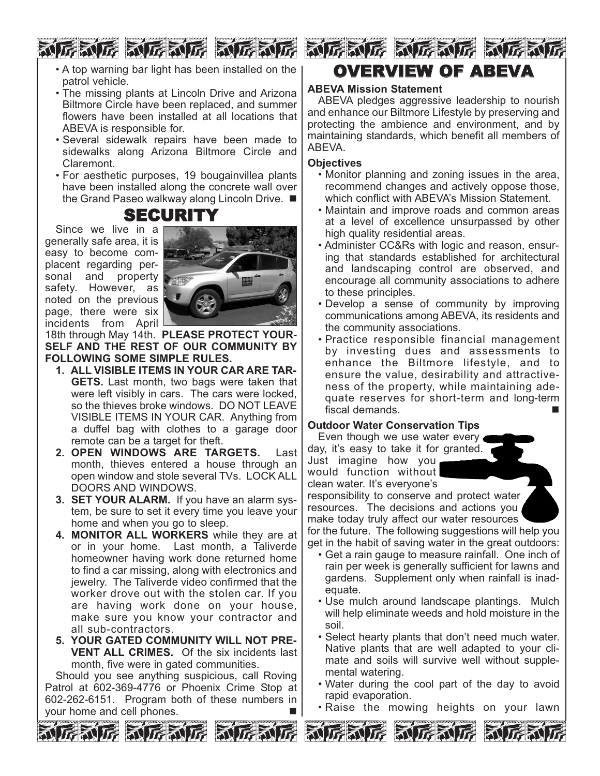**FRUE RUE RUE RI** 

- A top warning bar light has been installed on the patrol vehicle.
- The missing plants at Lincoln Drive and Arizona Biltmore Circle have been replaced, and summer flowers have been installed at all locations that ABEVA is responsible for.
- Several sidewalk repairs have been made to sidewalks along Arizona Biltmore Circle and Claremont.
- For aesthetic purposes, 19 bougainvillea plants have been installed along the concrete wall over the Grand Paseo walkway along Lincoln Drive. ■

# **SECURITY**<br>Since we live in a

generally safe area, it is easy to become complacent regarding personal and property safety. However, as noted on the previous page, there were six incidents from April



18th through May 14th. **PLEASE PROTECT YOUR-SELF AND THE REST OF OUR COMMUNITY BY FOLLOWING SOME SIMPLE RULES.** 

- **1. ALL VISIBLE ITEMS IN YOUR CAR ARE TAR-GETS.** Last month, two bags were taken that were left visibly in cars. The cars were locked, so the thieves broke windows. DO NOT LEAVE VISIBLE ITEMS IN YOUR CAR. Anything from a duffel bag with clothes to a garage door remote can be a target for theft.
- **2. OPEN WINDOWS ARE TARGETS.** Last month, thieves entered a house through an open window and stole several TVs. LOCK ALL DOORS AND WINDOWS.
- **3. SET YOUR ALARM.** If you have an alarm system, be sure to set it every time you leave your home and when you go to sleep.
- **4. MONITOR ALL WORKERS** while they are at or in your home. Last month, a Taliverde homeowner having work done returned home to find a car missing, along with electronics and jewelry. The Taliverde video confirmed that the worker drove out with the stolen car. If you are having work done on your house, make sure you know your contractor and all sub-contractors.
- **5. YOUR GATED COMMUNITY WILL NOT PRE-VENT ALL CRIMES.** Of the six incidents last month, five were in gated communities.

Should you see anything suspicious, call Roving Patrol at 602-369-4776 or Phoenix Crime Stop at 602-262-6151. Program both of these numbers in your home and cell phones.



## **ABEVA Mission Statement**

ABEVA pledges aggressive leadership to nourish and enhance our Biltmore Lifestyle by preserving and protecting the ambience and environment, and by maintaining standards, which benefit all members of ABEVA.

#### **Objectives**

- Monitor planning and zoning issues in the area, recommend changes and actively oppose those, which conflict with ABEVA's Mission Statement.
- Maintain and improve roads and common areas at a level of excellence unsurpassed by other high quality residential areas.
- Administer CC&Rs with logic and reason, ensuring that standards established for architectural and landscaping control are observed, and encourage all community associations to adhere to these principles.
- Develop a sense of community by improving communications among ABEVA, its residents and the community associations.
- Practice responsible financial management by investing dues and assessments to enhance the Biltmore lifestyle, and to ensure the value, desirability and attractiveness of the property, while maintaining adequate reserves for short-term and long-term fiscal demands.

## **Outdoor Water Conservation Tips**

Even though we use water every day, it's easy to take it for granted. Just imagine how you would function without clean water. It's everyone's



responsibility to conserve and protect water resources. The decisions and actions you make today truly affect our water resources for the future. The following suggestions will help you

get in the habit of saving water in the great outdoors:

- Get a rain gauge to measure rainfall. One inch of rain per week is generally sufficient for lawns and gardens. Supplement only when rainfall is inadequate.
- Use mulch around landscape plantings. Mulch will help eliminate weeds and hold moisture in the soil.
- Select hearty plants that don't need much water. Native plants that are well adapted to your climate and soils will survive well without supplemental watering.
- Water during the cool part of the day to avoid rapid evaporation.
- Raise the mowing heights on your lawn











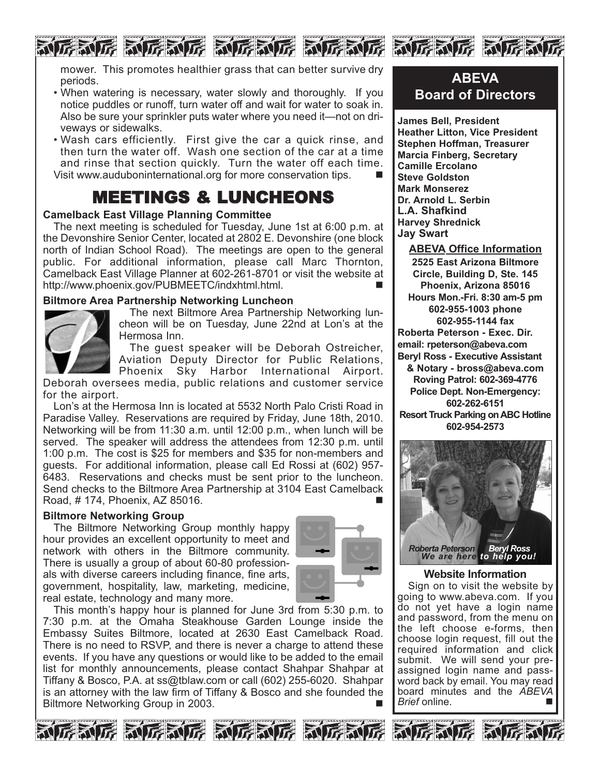mower. This promotes healthier grass that can better survive dry periods.

ne ne ne ne ne ne ne ne ne ne ne ne n

- When watering is necessary, water slowly and thoroughly. If you notice puddles or runoff, turn water off and wait for water to soak in. Also be sure your sprinkler puts water where you need it—not on driveways or sidewalks.
- Wash cars efficiently. First give the car a quick rinse, and then turn the water off. Wash one section of the car at a time and rinse that section quickly. Turn the water off each time. Visit www.auduboninternational.org for more conservation tips. -

# MEETINGS & LUNCHEONS

## **Camelback East Village Planning Committee**

The next meeting is scheduled for Tuesday, June 1st at 6:00 p.m. at the Devonshire Senior Center, located at 2802 E. Devonshire (one block north of Indian School Road). The meetings are open to the general public. For additional information, please call Marc Thornton, Camelback East Village Planner at 602-261-8701 or visit the website at http://www.phoenix.gov/PUBMEETC/indxhtml.html.

### **Biltmore Area Partnership Networking Luncheon**



The next Biltmore Area Partnership Networking luncheon will be on Tuesday, June 22nd at Lon's at the Hermosa Inn.

The guest speaker will be Deborah Ostreicher, Aviation Deputy Director for Public Relations, Phoenix Sky Harbor International Airport.

Deborah oversees media, public relations and customer service for the airport.

Lon's at the Hermosa Inn is located at 5532 North Palo Cristi Road in Paradise Valley. Reservations are required by Friday, June 18th, 2010. Networking will be from 11:30 a.m. until 12:00 p.m., when lunch will be served. The speaker will address the attendees from 12:30 p.m. until 1:00 p.m. The cost is \$25 for members and \$35 for non-members and guests. For additional information, please call Ed Rossi at (602) 957- 6483. Reservations and checks must be sent prior to the luncheon. Send checks to the Biltmore Area Partnership at 3104 East Camelback Road, # 174, Phoenix, AZ 85016. -

#### **Biltmore Networking Group**

The Biltmore Networking Group monthly happy hour provides an excellent opportunity to meet and network with others in the Biltmore community. There is usually a group of about 60-80 professionals with diverse careers including finance, fine arts, government, hospitality, law, marketing, medicine, real estate, technology and many more.



This month's happy hour is planned for June 3rd from 5:30 p.m. to 7:30 p.m. at the Omaha Steakhouse Garden Lounge inside the Embassy Suites Biltmore, located at 2630 East Camelback Road. There is no need to RSVP, and there is never a charge to attend these events. If you have any questions or would like to be added to the email list for monthly announcements, please contact Shahpar Shahpar at Tiffany & Bosco, P.A. at ss@tblaw.com or call (602) 255-6020. Shahpar is an attorney with the law firm of Tiffany & Bosco and she founded the Biltmore Networking Group in 2003.

# **ABEVA Board of Directors**

**James Bell, President Heather Litton, Vice President Stephen Hoffman, Treasurer Marcia Finberg, Secretary Camille Ercolano Steve Goldston Mark Monserez Dr. Arnold L. Serbin L.A. Shafkind Harvey Shrednick Jay Swart**

**ABEVA Office Information 2525 East Arizona Biltmore Circle, Building D, Ste. 145 Phoenix, Arizona 85016 Hours Mon.-Fri. 8:30 am-5 pm 602-955-1003 phone 602-955-1144 fax Roberta Peterson - Exec. Dir. email: rpeterson@abeva.com Beryl Ross - Executive Assistant & Notary - bross@abeva.com Roving Patrol: 602-369-4776 Police Dept. Non-Emergency: 602-262-6151 Resort Truck Parking on ABC Hotline 602-954-2573**



#### **Website Information**

Sign on to visit the website by going to www.abeva.com. If you do not yet have a login name and password, from the menu on the left choose e-forms, then choose login request, fill out the required information and click submit. We will send your preassigned login name and password back by email. You may read board minutes and the *ABEVA Brief* online. ■